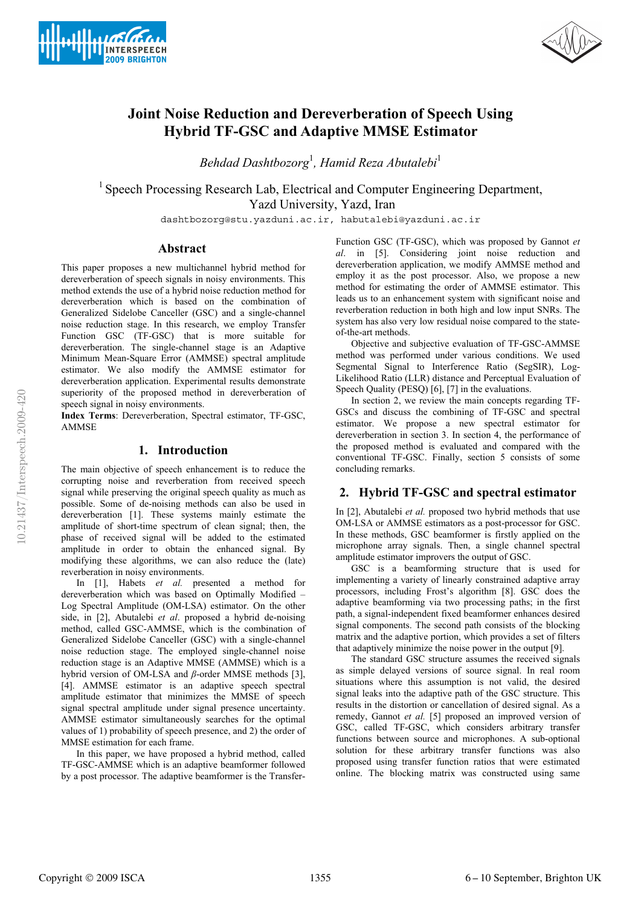



# **Joint Noise Reduction and Dereverberation of Speech Using Hybrid TF-GSC and Adaptive MMSE Estimator**

*Behdad Dashtbozorg*<sup>1</sup> *, Hamid Reza Abutalebi*<sup>1</sup>

<sup>1</sup> Speech Processing Research Lab, Electrical and Computer Engineering Department, Yazd University, Yazd, Iran

dashtbozorg@stu.yazduni.ac.ir, habutalebi@yazduni.ac.ir

## **Abstract**

This paper proposes a new multichannel hybrid method for dereverberation of speech signals in noisy environments. This method extends the use of a hybrid noise reduction method for dereverberation which is based on the combination of Generalized Sidelobe Canceller (GSC) and a single-channel noise reduction stage. In this research, we employ Transfer Function GSC (TF-GSC) that is more suitable for dereverberation. The single-channel stage is an Adaptive Minimum Mean-Square Error (AMMSE) spectral amplitude estimator. We also modify the AMMSE estimator for dereverberation application. Experimental results demonstrate superiority of the proposed method in dereverberation of speech signal in noisy environments.

**Index Terms**: Dereverberation, Spectral estimator, TF-GSC, AMMSE

## **1. Introduction**

The main objective of speech enhancement is to reduce the corrupting noise and reverberation from received speech signal while preserving the original speech quality as much as possible. Some of de-noising methods can also be used in dereverberation [1]. These systems mainly estimate the amplitude of short-time spectrum of clean signal; then, the phase of received signal will be added to the estimated amplitude in order to obtain the enhanced signal. By modifying these algorithms, we can also reduce the (late) reverberation in noisy environments.

In [1], Habets *et al.* presented a method for dereverberation which was based on Optimally Modified – Log Spectral Amplitude (OM-LSA) estimator. On the other side, in [2], Abutalebi *et al*. proposed a hybrid de-noising method, called GSC-AMMSE, which is the combination of Generalized Sidelobe Canceller (GSC) with a single-channel noise reduction stage. The employed single-channel noise reduction stage is an Adaptive MMSE (AMMSE) which is a hybrid version of OM-LSA and *β*-order MMSE methods [3], [4]. AMMSE estimator is an adaptive speech spectral amplitude estimator that minimizes the MMSE of speech signal spectral amplitude under signal presence uncertainty. AMMSE estimator simultaneously searches for the optimal values of 1) probability of speech presence, and 2) the order of MMSE estimation for each frame.

In this paper, we have proposed a hybrid method, called TF-GSC-AMMSE which is an adaptive beamformer followed by a post processor. The adaptive beamformer is the TransferFunction GSC (TF-GSC), which was proposed by Gannot *et al*. in [5]. Considering joint noise reduction and dereverberation application, we modify AMMSE method and employ it as the post processor. Also, we propose a new method for estimating the order of AMMSE estimator. This leads us to an enhancement system with significant noise and reverberation reduction in both high and low input SNRs. The system has also very low residual noise compared to the stateof-the-art methods.

Objective and subjective evaluation of TF-GSC-AMMSE method was performed under various conditions. We used Segmental Signal to Interference Ratio (SegSIR), Log-Likelihood Ratio (LLR) distance and Perceptual Evaluation of Speech Quality (PESQ) [6], [7] in the evaluations.

In section 2, we review the main concepts regarding TF-GSCs and discuss the combining of TF-GSC and spectral estimator. We propose a new spectral estimator for dereverberation in section 3. In section 4, the performance of the proposed method is evaluated and compared with the conventional TF-GSC. Finally, section 5 consists of some concluding remarks.

# **2. Hybrid TF-GSC and spectral estimator**

In [2], Abutalebi *et al.* proposed two hybrid methods that use OM-LSA or AMMSE estimators as a post-processor for GSC. In these methods, GSC beamformer is firstly applied on the microphone array signals. Then, a single channel spectral amplitude estimator improvers the output of GSC.

GSC is a beamforming structure that is used for implementing a variety of linearly constrained adaptive array processors, including Frost's algorithm [8]. GSC does the adaptive beamforming via two processing paths; in the first path, a signal-independent fixed beamformer enhances desired signal components. The second path consists of the blocking matrix and the adaptive portion, which provides a set of filters that adaptively minimize the noise power in the output [9].

The standard GSC structure assumes the received signals as simple delayed versions of source signal. In real room situations where this assumption is not valid, the desired signal leaks into the adaptive path of the GSC structure. This results in the distortion or cancellation of desired signal. As a remedy, Gannot *et al.* [5] proposed an improved version of GSC, called TF-GSC, which considers arbitrary transfer functions between source and microphones. A sub-optional solution for these arbitrary transfer functions was also proposed using transfer function ratios that were estimated online. The blocking matrix was constructed using same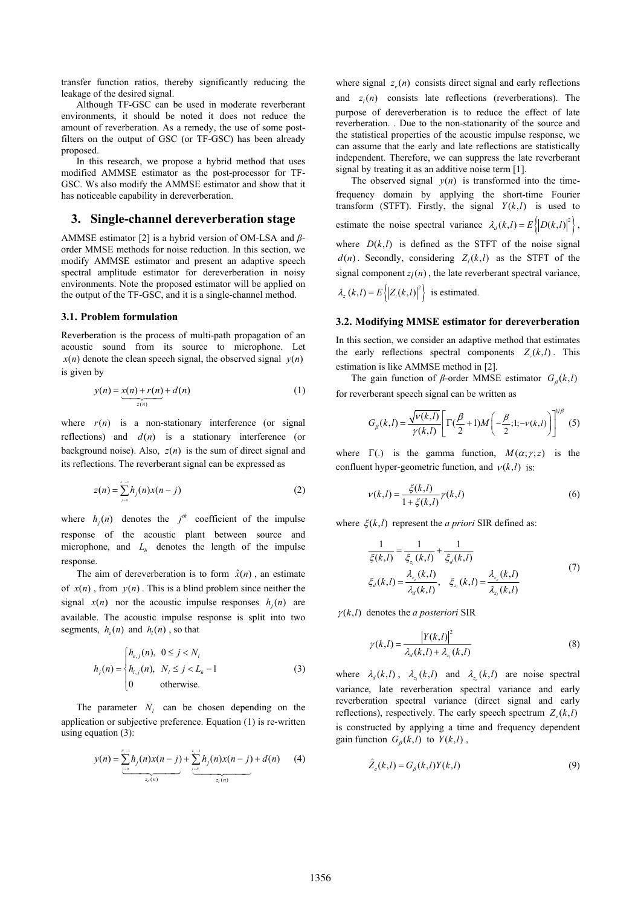transfer function ratios, thereby significantly reducing the leakage of the desired signal.

Although TF-GSC can be used in moderate reverberant environments, it should be noted it does not reduce the amount of reverberation. As a remedy, the use of some postfilters on the output of GSC (or TF-GSC) has been already proposed.

In this research, we propose a hybrid method that uses modified AMMSE estimator as the post-processor for TF-GSC. Ws also modify the AMMSE estimator and show that it has noticeable capability in dereverberation.

#### **3. Single-channel dereverberation stage**

AMMSE estimator [2] is a hybrid version of OM-LSA and *β*order MMSE methods for noise reduction. In this section, we modify AMMSE estimator and present an adaptive speech spectral amplitude estimator for dereverberation in noisy environments. Note the proposed estimator will be applied on the output of the TF-GSC, and it is a single-channel method.

#### **3.1. Problem formulation**

Reverberation is the process of multi-path propagation of an acoustic sound from its source to microphone. Let  $x(n)$  denote the clean speech signal, the observed signal  $y(n)$ is given by

$$
y(n) = \underbrace{x(n) + r(n)}_{z(n)} + d(n) \tag{1}
$$

where  $r(n)$  is a non-stationary interference (or signal reflections) and  $d(n)$  is a stationary interference (or background noise). Also,  $z(n)$  is the sum of direct signal and its reflections. The reverberant signal can be expressed as

$$
z(n) = \sum_{j=0}^{L_i-1} h_j(n) x(n-j)
$$
 (2)

where  $h_i(n)$  denotes the  $j^h$  coefficient of the impulse response of the acoustic plant between source and microphone, and  $L<sub>h</sub>$  denotes the length of the impulse response.

The aim of dereverberation is to form  $\hat{x}(n)$ , an estimate of  $x(n)$ , from  $y(n)$ . This is a blind problem since neither the signal  $x(n)$  nor the acoustic impulse responses  $h_i(n)$  are available. The acoustic impulse response is split into two segments,  $h_e(n)$  and  $h_i(n)$ , so that

$$
h_j(n) = \begin{cases} h_{e,j}(n), & 0 \le j < N_l \\ h_{l,j}(n), & N_l \le j < L_h - 1 \\ 0 & \text{otherwise.} \end{cases} \tag{3}
$$

The parameter  $N_l$  can be chosen depending on the application or subjective preference. Equation (1) is re-written using equation (3):

$$
y(n) = \sum_{\frac{j=0}{2\epsilon}(n)}^{N_j-1} h_j(n) x(n-j) + \sum_{\frac{j=N_j}{2\epsilon}(n)}^{L_j-1} h_j(n) x(n-j) + d(n) \qquad (4)
$$

where signal  $z_e(n)$  consists direct signal and early reflections and  $z_i(n)$  consists late reflections (reverberations). The purpose of dereverberation is to reduce the effect of late reverberation. . Due to the non-stationarity of the source and the statistical properties of the acoustic impulse response, we can assume that the early and late reflections are statistically independent. Therefore, we can suppress the late reverberant signal by treating it as an additive noise term [1].

The observed signal  $y(n)$  is transformed into the timefrequency domain by applying the short-time Fourier transform (STFT). Firstly, the signal  $Y(k, l)$  is used to estimate the noise spectral variance  $\lambda_d(k,l) = E\left\{ |D(k,l)|^2 \right\}$ , where  $D(k, l)$  is defined as the STFT of the noise signal  $d(n)$ . Secondly, considering  $Z_i(k,l)$  as the STFT of the signal component  $z_l(n)$ , the late reverberant spectral variance,  $\lambda_{z_i}(k,l) = E\left\{ \left| Z_i(k,l) \right|^2 \right\}$  is estimated.

#### **3.2. Modifying MMSE estimator for dereverberation**

In this section, we consider an adaptive method that estimates the early reflections spectral components  $Z(k,l)$ . This estimation is like AMMSE method in [2].

The gain function of  $\beta$ -order MMSE estimator  $G_{\beta}(k, l)$ for reverberant speech signal can be written as

$$
G_{\beta}(k,l) = \frac{\sqrt{v(k,l)}}{\gamma(k,l)} \left[ \Gamma(\frac{\beta}{2} + 1) M\left(-\frac{\beta}{2};1;-\nu(k,l)\right) \right]^{\frac{1}{\beta}} (5)
$$

where  $\Gamma(.)$  is the gamma function,  $M(\alpha; \gamma; z)$  is the confluent hyper-geometric function, and  $v(k, l)$  is:

$$
v(k,l) = \frac{\xi(k,l)}{1 + \xi(k,l)} \gamma(k,l)
$$
 (6)

where  $\xi(k, l)$  represent the *a priori* SIR defined as:

$$
\frac{1}{\xi(k,l)} = \frac{1}{\xi_{z_i}(k,l)} + \frac{1}{\xi_d(k,l)}
$$
\n
$$
\xi_d(k,l) = \frac{\lambda_{z_i}(k,l)}{\lambda_d(k,l)}, \quad \xi_{z_i}(k,l) = \frac{\lambda_{z_i}(k,l)}{\lambda_{z_i}(k,l)}
$$
\n(7)

 $\gamma(k, l)$  denotes the *a posteriori* SIR

$$
\gamma(k,l) = \frac{|Y(k,l)|^2}{\lambda_d(k,l) + \lambda_{z_i}(k,l)}\tag{8}
$$

where  $\lambda_d(k, l)$ ,  $\lambda_{z_i}(k, l)$  and  $\lambda_{z_i}(k, l)$  are noise spectral variance, late reverberation spectral variance and early reverberation spectral variance (direct signal and early reflections), respectively. The early speech spectrum  $Z_e(k,l)$ is constructed by applying a time and frequency dependent gain function  $G_{\beta}(k, l)$  to  $Y(k, l)$ ,

$$
\hat{Z}_e(k,l) = G_\beta(k,l)Y(k,l)
$$
\n(9)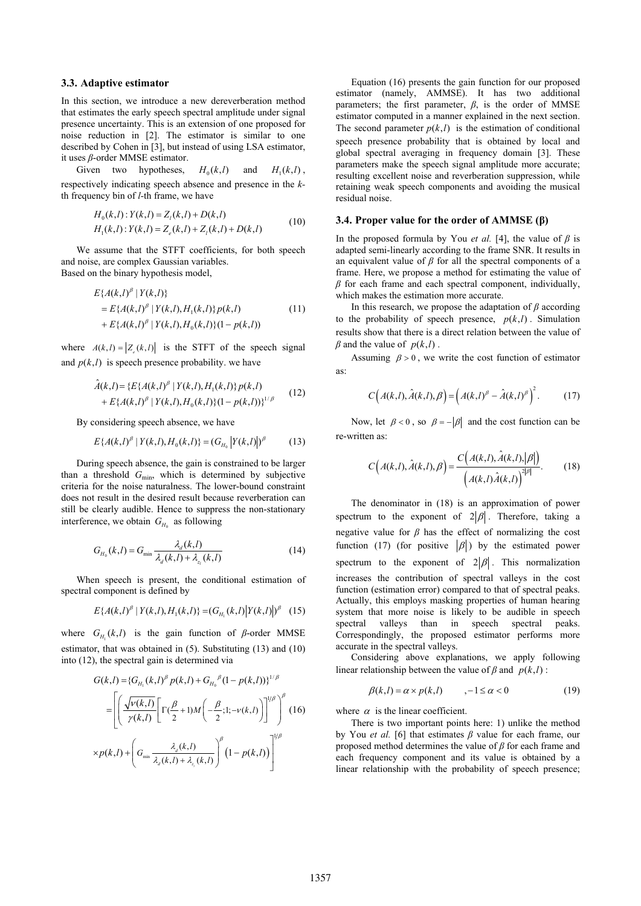#### **3.3. Adaptive estimator**

In this section, we introduce a new dereverberation method that estimates the early speech spectral amplitude under signal presence uncertainty. This is an extension of one proposed for noise reduction in [2]. The estimator is similar to one described by Cohen in [3], but instead of using LSA estimator, it uses *β*-order MMSE estimator.

Given two hypotheses,  $H_0(k, l)$  and  $H_1(k, l)$ , respectively indicating speech absence and presence in the *k*th frequency bin of *l-*th frame, we have

$$
H_0(k,l): Y(k,l) = Z_l(k,l) + D(k,l)
$$
  
\n
$$
H_1(k,l): Y(k,l) = Z_e(k,l) + Z_l(k,l) + D(k,l)
$$
\n(10)

We assume that the STFT coefficients, for both speech and noise, are complex Gaussian variables. Based on the binary hypothesis model,

$$
E\{A(k,l)^{\beta} | Y(k,l)\}
$$
  
=  $E\{A(k,l)^{\beta} | Y(k,l), H_1(k,l)\} p(k,l)$  (11)  
+  $E\{A(k,l)^{\beta} | Y(k,l), H_0(k,l)\} (1-p(k,l))$ 

where  $A(k, l) = |Z_{k}(k, l)|$  is the STFT of the speech signal and  $p(k, l)$  is speech presence probability. we have

$$
\hat{A}(k,l) = \{ E\{ A(k,l)^{\beta} \mid Y(k,l), H_1(k,l) \} p(k,l) + E\{ A(k,l)^{\beta} \mid Y(k,l), H_0(k,l) \} (1-p(k,l)) \}^{1/\beta}
$$
\n(12)

By considering speech absence, we have

$$
E\{A(k,l)^{\beta} | Y(k,l), H_0(k,l)\} = (G_{H_0} | Y(k,l)|)^{\beta} \tag{13}
$$

During speech absence, the gain is constrained to be larger than a threshold G<sub>min</sub>, which is determined by subjective criteria for the noise naturalness. The lower-bound constraint does not result in the desired result because reverberation can still be clearly audible. Hence to suppress the non-stationary interference, we obtain  $G_{H_0}$  as following

$$
G_{H_0}(k,l) = G_{\min} \frac{\lambda_d(k,l)}{\lambda_d(k,l) + \lambda_{z_i}(k,l)}\tag{14}
$$

When speech is present, the conditional estimation of spectral component is defined by

$$
E\{A(k,l)^{\beta} | Y(k,l), H_1(k,l)\} = (G_{H_1}(k,l) | Y(k,l)|)^{\beta} \quad (15)
$$

where  $G_{H_1}(k,l)$  is the gain function of  $\beta$ -order MMSE estimator, that was obtained in (5). Substituting (13) and (10) into (12), the spectral gain is determined via

$$
G(k,l) = \{G_{H_1}(k,l)^{\beta} p(k,l) + G_{H_0}^{\beta} (1 - p(k,l))\}^{1/\beta}
$$
  
= 
$$
\left[ \left( \frac{\sqrt{v(k,l)}}{\gamma(k,l)} \left[ \Gamma(\frac{\beta}{2} + 1) M\left(-\frac{\beta}{2}; 1; -v(k,l)\right) \right]^{\beta} \right]^{\beta} (16) \right]
$$
  

$$
\times p(k,l) + \left( G_{\min} \frac{\lambda_d(k,l)}{\lambda_d(k,l) + \lambda_{z_i}(k,l)} \right)^{\beta} (1 - p(k,l)) \right]^{\gamma/\beta}
$$

Equation (16) presents the gain function for our proposed estimator (namely, AMMSE). It has two additional parameters; the first parameter,  $\beta$ , is the order of MMSE estimator computed in a manner explained in the next section. The second parameter  $p(k, l)$  is the estimation of conditional speech presence probability that is obtained by local and global spectral averaging in frequency domain [3]. These parameters make the speech signal amplitude more accurate; resulting excellent noise and reverberation suppression, while retaining weak speech components and avoiding the musical residual noise.

#### **3.4. Proper value for the order of AMMSE (β)**

In the proposed formula by You *et al.* [4], the value of *β* is adapted semi-linearly according to the frame SNR. It results in an equivalent value of  $\beta$  for all the spectral components of a frame. Here, we propose a method for estimating the value of *β* for each frame and each spectral component, individually, which makes the estimation more accurate.

In this research, we propose the adaptation of  $\beta$  according to the probability of speech presence,  $p(k, l)$ . Simulation results show that there is a direct relation between the value of  $\beta$  and the value of  $p(k, l)$ .

Assuming  $\beta > 0$ , we write the cost function of estimator as:

$$
C\Big(A(k,l),\hat{A}(k,l),\beta\Big) = \Big(A(k,l)^{\beta} - \hat{A}(k,l)^{\beta}\Big)^2. \tag{17}
$$

Now, let  $\beta < 0$ , so  $\beta = -|\beta|$  and the cost function can be re-written as:

$$
C\Big(A(k,l),\hat{A}(k,l),\beta\Big) = \frac{C\Big(A(k,l),\hat{A}(k,l),|\beta|\Big)}{\Big(A(k,l)\hat{A}(k,l)\Big)^{2|\beta|}}.\tag{18}
$$

The denominator in (18) is an approximation of power spectrum to the exponent of  $2|\beta|$ . Therefore, taking a negative value for  $\beta$  has the effect of normalizing the cost function (17) (for positive  $|\beta|$ ) by the estimated power spectrum to the exponent of  $2|\beta|$ . This normalization increases the contribution of spectral valleys in the cost function (estimation error) compared to that of spectral peaks. Actually, this employs masking properties of human hearing system that more noise is likely to be audible in speech spectral valleys than in speech spectral peaks. Correspondingly, the proposed estimator performs more accurate in the spectral valleys.

Considering above explanations, we apply following linear relationship between the value of  $\beta$  and  $p(k, l)$ :

$$
\beta(k,l) = \alpha \times p(k,l) \qquad , -1 \le \alpha < 0 \tag{19}
$$

where  $\alpha$  is the linear coefficient.

There is two important points here: 1) unlike the method by You *et al.* [6] that estimates *β* value for each frame, our proposed method determines the value of *β* for each frame and each frequency component and its value is obtained by a linear relationship with the probability of speech presence;